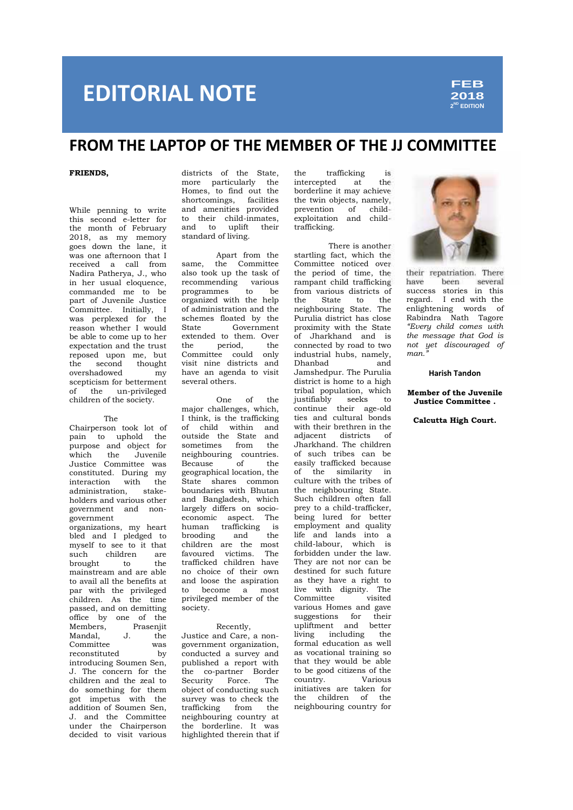# **EDITORIAL NOTE**

**2018 2 ND EDITION**

### **FROM THE LAPTOP OF THE MEMBER OF THE JJ COMMITTEE**

#### **FRIENDS,**

While penning to write this second e-letter for the month of February 2018, as my memory goes down the lane, it was one afternoon that I received a call from Nadira Patherya, J., who in her usual eloquence, commanded me to be part of Juvenile Justice Committee. Initially, I was perplexed for the schements and the schements of the schements of the schements of the schements of the schements of the schements of the schements of the schements of the schements of the schements of the schements of reason whether I would be able to come up to her extended the trust expectation and the trust reposed upon me, but the second thought<br>overshadowed my overshadowed scepticism for betterment of the un-privileged children of the society.

#### The

Chairperson took lot of pain to uphold the purpose and object for<br>which the Juvenile which the Juvenile Justice Committee was constituted. During my<br>interaction with the interaction with administration, stake holders and various other government and non government organizations, my heart bled and I pledged to myself to see to it that such children are brought to the mainstream and are able to avail all the benefits at an<br>nar with the privileged to par with the privileged children. As the time passed, and on demitting office by one of the<br>Members. Praseniit Members, Mandal, J. the Committee was<br>reconstituted by reconstituted introducing Soumen Sen, J. The concern for the children and the zeal to do something for them got impetus with the addition of Soumen Sen, J. and the Committee under the Chairperson decided to visit various

districts of the State, the more particularly the Homes, to find out the shortcomings, facilities and amenities provided to their child-inmates, and to uplift their standard of living.

Apart from the same, the Committee also took up the task of recommending various<br>programmes to be programmes organized with the help of administration and the schemes floated by the Government extended to them. Over<br>the period the period, Committee could only visit nine districts and have an agenda to visit several others.

One of the major challenges, which, I think, is the trafficking of child within and outside the State and<br>sometimes from the sometimes from neighbouring countries. Because of the geographical location, the State shares common boundaries with Bhutan and Bangladesh, which largely differs on socio economic aspect. The human trafficking is<br>brooding and the brooding children are the most favoured victims. The trafficked children have no choice of their own and loose the aspiration become a most privileged member of the society.

#### Recently,

Justice and Care, a non government organization, conducted a survey and published a report with the co-partner Border Security Force. The object of conducting such survey was to check the trafficking from the neighbouring country at the borderline. It was highlighted therein that if

trafficking is<br>ted at the intercepted at borderline it may achieve the twin objects, namely, prevention of child exploitation and childtrafficking.

There is another startling fact, which the Committee noticed over the period of time, the rampant child trafficking have from various districts of the State to the neighbouring State. The Purulia district has close proximity with the State of Jharkhand and is connected by road to two industrial hubs, namely,<br>Dhanbad Dhanbad Jamshedpur. The Purulia district is home to a high tribal population, which justifiably seeks to continue their age-old ties and cultural bonds with their brethren in the adjacent districts of Jharkhand. The children of such tribes can be easily trafficked because of the similarity in culture with the tribes of the neighbouring State. Such children often fall prey to a child-trafficker, being lured for better employment and quality life and lands into a child-labour, which is forbidden under the law. They are not nor can be destined for such future as they have a right to live with dignity. The Committee visited various Homes and gave suggestions for their upliftment and better living including the formal education as well as vocational training so that they would be able to be good citizens of the country. Various initiatives are taken for the children of the neighbouring country for



their repatriation. There heen several success stories in this regard. I end with the enlightening words of Rabindra Nath Tagore *"Every child comes with the message that God is not yet discouraged of man."*

#### **Harish Tandon**

**Member of the Juvenile Justice Committee .**

**Calcutta High Court.**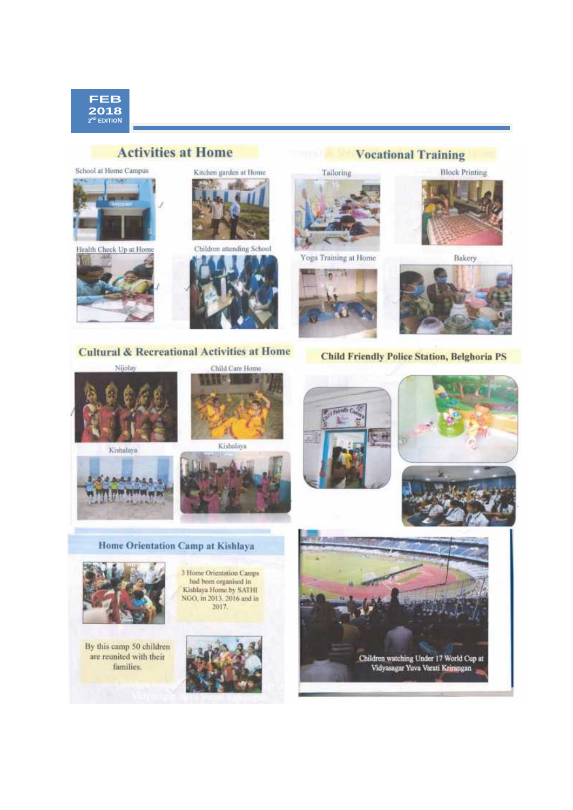

### **Activities at Home**

School at Home Campus









**Vocational Training** 

Tailoring

**TO LET** 



Bakery



**Cultural & Recreational Activities at Home** 

Nijolay

Kishalaya





Child Care Home



Home Orientation Camp at Kishlaya



By this camp 50 children are reunited with their families.







**Child Friendly Police Station, Belghoria PS** 

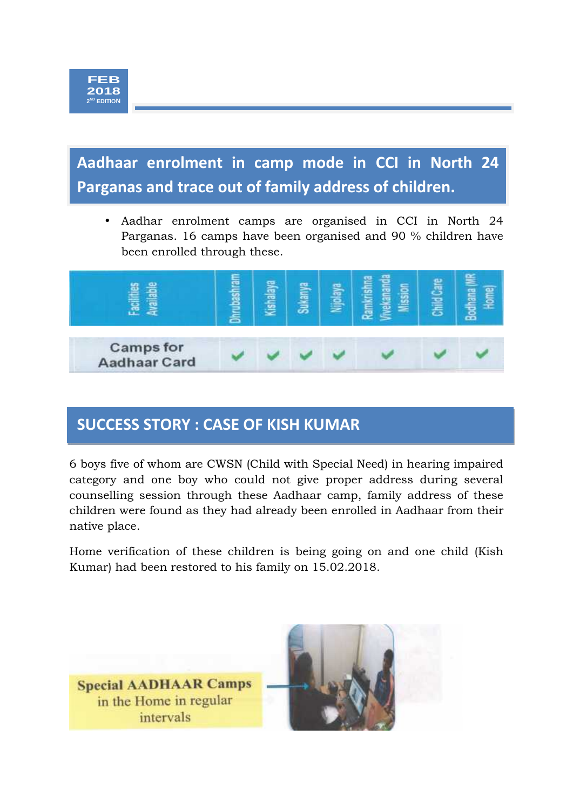**Aadhaar enrolment in camp mode in cci IN North 24 Parganas and trace out of family address of Aadhaar enrolment in camp mode in CCI in North 24 Parganas and trace out of family address of children.**

 Aadhar enrolment camps are organised in CCI in North 24 Parganas. 16 camps have been organised and 90 % children have been enrolled through these.



## **SUCCESS STORY : CASE OF KISH KUMAR**

6 boys five of whom are CWSN (Child with Special Need) in hearing impaired category and one boy who could not give proper address during several counselling session through these Aadhaar camp, family address of these children were found as they had already been enrolled in Aadhaar from their native place.

Home verification of these children is being going on and one child (Kish Kumar) had been restored to his family on 15.02.2018.

**Special AADHAAR Camps** in the Home in regular intervals